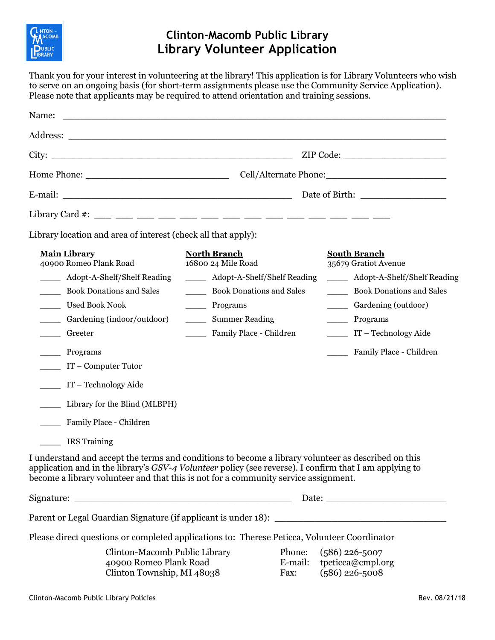

## **Clinton-Macomb Public Library Library Volunteer Application**

Thank you for your interest in volunteering at the library! This application is for Library Volunteers who wish to serve on an ongoing basis (for short-term assignments please use the Community Service Application). Please note that applicants may be required to attend orientation and training sessions.

| Library location and area of interest (check all that apply):                                                                                                                                                                                                                                        |                                           |                |                                                                   |  |
|------------------------------------------------------------------------------------------------------------------------------------------------------------------------------------------------------------------------------------------------------------------------------------------------------|-------------------------------------------|----------------|-------------------------------------------------------------------|--|
| <b>Main Library</b><br>40900 Romeo Plank Road                                                                                                                                                                                                                                                        | <b>North Branch</b><br>16800 24 Mile Road |                | <b>South Branch</b><br>35679 Gratiot Avenue                       |  |
| ______ Adopt-A-Shelf/Shelf Reading                                                                                                                                                                                                                                                                   | ______ Adopt-A-Shelf/Shelf Reading        |                | Adopt-A-Shelf/Shelf Reading<br>$\overline{\phantom{a}}$           |  |
| <b>Book Donations and Sales</b><br>$\overline{\phantom{a}}$                                                                                                                                                                                                                                          | Book Donations and Sales                  |                | <b>Book Donations and Sales</b><br>$\overline{\phantom{a}}$       |  |
| <b>Used Book Nook</b><br>$\mathcal{L}^{\text{max}}$                                                                                                                                                                                                                                                  | ______ Programs                           |                | Gardening (outdoor)<br>$\frac{1}{2}$ . The set of $\frac{1}{2}$   |  |
| Gardening (indoor/outdoor)<br>$\mathcal{L}^{\text{max}}$                                                                                                                                                                                                                                             | _______ Summer Reading                    |                | Programs<br>$\overline{\phantom{a}}$                              |  |
| Greeter                                                                                                                                                                                                                                                                                              | Family Place - Children                   |                | $IT - Technology Aide$                                            |  |
| <u>neal</u> Programs<br>$\sqrt{1 - 1}$ T – Computer Tutor                                                                                                                                                                                                                                            |                                           |                | Family Place - Children                                           |  |
| IT - Technology Aide                                                                                                                                                                                                                                                                                 |                                           |                |                                                                   |  |
| Library for the Blind (MLBPH)                                                                                                                                                                                                                                                                        |                                           |                |                                                                   |  |
| Family Place - Children                                                                                                                                                                                                                                                                              |                                           |                |                                                                   |  |
| <b>IRS</b> Training                                                                                                                                                                                                                                                                                  |                                           |                |                                                                   |  |
| I understand and accept the terms and conditions to become a library volunteer as described on this<br>application and in the library's GSV-4 Volunteer policy (see reverse). I confirm that I am applying to<br>become a library volunteer and that this is not for a community service assignment. |                                           |                |                                                                   |  |
|                                                                                                                                                                                                                                                                                                      |                                           |                |                                                                   |  |
|                                                                                                                                                                                                                                                                                                      |                                           |                |                                                                   |  |
| Please direct questions or completed applications to: Therese Peticca, Volunteer Coordinator                                                                                                                                                                                                         |                                           |                |                                                                   |  |
| Clinton-Macomb Public Library<br>40900 Romeo Plank Road<br>Clinton Township, MI 48038                                                                                                                                                                                                                |                                           | Phone:<br>Fax: | $(586)$ 226-5007<br>E-mail: tpeticca@cmpl.org<br>$(586)$ 226-5008 |  |